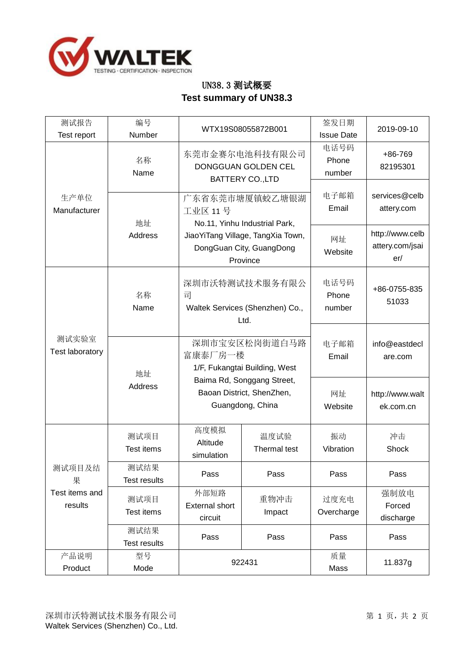

## UN38.3 测试概要 **Test summary of UN38.3**

| 测试报告<br>Test report                      | 编号<br>Number                | WTX19S08055872B001                                                                                                                                                                                       |                      | 签发日期<br><b>Issue Date</b> | 2019-09-10                                |
|------------------------------------------|-----------------------------|----------------------------------------------------------------------------------------------------------------------------------------------------------------------------------------------------------|----------------------|---------------------------|-------------------------------------------|
|                                          | 名称<br>Name                  | 东莞市金赛尔电池科技有限公司<br>DONGGUAN GOLDEN CEL<br><b>BATTERY CO., LTD</b>                                                                                                                                         |                      | 电话号码<br>Phone<br>number   | +86-769<br>82195301                       |
| 生产单位<br>Manufacturer                     | 地址                          | 广东省东莞市塘厦镇蛟乙塘银湖<br>工业区 11号<br>No.11, Yinhu Industrial Park,                                                                                                                                               |                      | 电子邮箱<br>Email             | services@celb<br>attery.com               |
| 测试实验室<br>Test laboratory                 | Address                     | JiaoYiTang Village, TangXia Town,<br>DongGuan City, GuangDong<br>Province<br>深圳市沃特测试技术服务有限公<br>司<br>Waltek Services (Shenzhen) Co.,<br>Ltd.<br>深圳市宝安区松岗街道白马路<br>富康泰厂房一楼<br>1/F, Fukangtai Building, West |                      | 网址<br>Website             | http://www.celb<br>attery.com/jsai<br>er/ |
|                                          | 名称<br>Name                  |                                                                                                                                                                                                          |                      | 电话号码<br>Phone<br>number   | +86-0755-835<br>51033                     |
|                                          | 地址                          |                                                                                                                                                                                                          |                      | 电子邮箱<br>Email             | info@eastdecl<br>are.com                  |
|                                          | <b>Address</b>              | Baima Rd, Songgang Street,<br>Baoan District, ShenZhen,<br>Guangdong, China                                                                                                                              |                      | 网址<br>Website             | http://www.walt<br>ek.com.cn              |
|                                          | 测试项目<br>Test items          | 高度模拟<br>Altitude<br>simulation                                                                                                                                                                           | 温度试验<br>Thermal test | 振动<br>Vibration           | 冲击<br>Shock                               |
| 测试项目及结<br>果<br>Test items and<br>results | 测试结果<br><b>Test results</b> | Pass                                                                                                                                                                                                     | Pass                 | Pass                      | Pass                                      |
|                                          | 测试项目<br>Test items          | 外部短路<br><b>External short</b><br>circuit                                                                                                                                                                 | 重物冲击<br>Impact       | 过度充电<br>Overcharge        | 强制放电<br>Forced<br>discharge               |
|                                          | 测试结果<br><b>Test results</b> | Pass                                                                                                                                                                                                     | Pass                 | Pass                      | Pass                                      |
| 产品说明<br>Product                          | 型号<br>Mode                  | 922431                                                                                                                                                                                                   |                      | 质量<br>Mass                | 11.837g                                   |